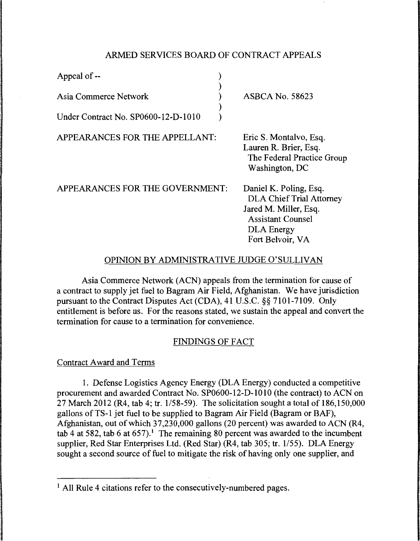## ARMED SERVICES BOARD OF CONTRACT APPEALS

| Appeal of --                        |                                                                               |
|-------------------------------------|-------------------------------------------------------------------------------|
| Asia Commerce Network               | <b>ASBCA No. 58623</b>                                                        |
| Under Contract No. SP0600-12-D-1010 |                                                                               |
| APPEARANCES FOR THE APPELLANT:      | Eric S. Montalvo, Esq.<br>Lauren R. Brier, Esq.<br>The Federal Practice Group |

APPEARANCES FOR THE GOVERNMENT:

Daniel K. Poling, Esq. DLA Chief Trial Attorney Jared M. Miller, Esq. Assistant Counsel DLA Energy Fort Belvoir, VA

Washington, DC

# OPINION BY ADMINISTRATIVE JUDGE O'SULLIVAN

Asia Commerce Network (ACN) appeals from the termination for cause of a contract to supply jet fuel to Bagram Air Field, Afghanistan. We have jurisdiction pursuant to the Contract Disputes Act (CDA), 41 U.S.C. §§ 7101-7109. Only entitlement is before us. For the reasons stated, we sustain the appeal and convert the termination for cause to a termination for convenience.

# FINDINGS OF FACT

### Contract Award and Terms

1. Defense Logistics Agency Energy (DLA Energy) conducted a competitive procurement and awarded Contract No. SP0600-12-D-1010 (the contract) to ACN on 27 March 2012 (R4, tab 4; tr. 1/58-59). The solicitation sought a total of 186,150,000 gallons of TS-1 jet fuel to be supplied to Bagram Air Field (Bagram or BAF), Afghanistan, out of which 37,230,000 gallons (20 percent) was awarded to ACN (R4, tab 4 at 582, tab 6 at  $(657)$ .<sup>1</sup> The remaining 80 percent was awarded to the incumbent supplier, Red Star Enterprises Ltd. (Red Star) (R4, tab 305; tr. 1/55). DLA Energy sought a second source of fuel to mitigate the risk of having only one supplier, and

<sup>&</sup>lt;sup>1</sup> All Rule 4 citations refer to the consecutively-numbered pages.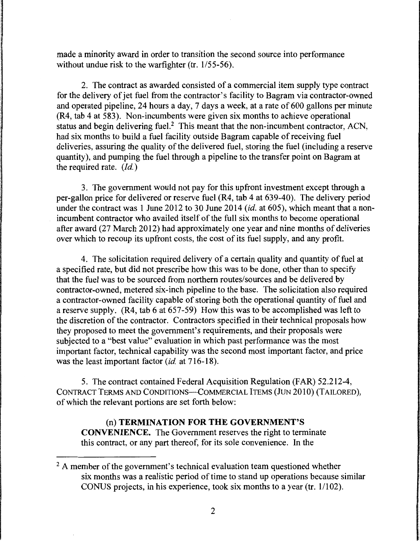made a minority award in order to transition the second source into performance without undue risk to the warfighter (tr.  $1/55-56$ ).

2. The contract as awarded consisted of a commercial item supply type contract for the delivery of jet fuel from the contractor's facility to Bagram via contractor-owned and operated pipeline, 24 hours a day, 7 days a week, at a rate of 600 gallons per minute (R4, tab 4 at 583). Non-incumbents were given six months to achieve operational status and begin delivering fuel.<sup>2</sup> This meant that the non-incumbent contractor, ACN, had six months to build a fuel facility outside Bagram capable of receiving fuel deliveries, assuring the quality of the delivered fuel, storing the fuel (including a reserve quantity), and pumping the fuel through a pipeline to the transfer point on Bagram at the required rate.  $(Id.)$ 

3. The government would not pay for this upfront investment except through a per-gallon price for delivered or reserve fuel (R4, tab 4 at 639-40). The delivery period under the contract was 1 June 2012 to 30 June 2014 *(id.* at 605), which meant that a nonincumbent contractor who availed itself of the full six months to become operational after award (27 March 2012) had approximately one year and nine months of deliveries over which to recoup its upfront costs, the cost of its fuel supply, and any profit.

4. The solicitation required delivery of a certain quality and quantity of fuel at a specified rate, but did not prescribe how this was to be done, other than to specify that the fuel was to be sourced from northern routes/sources and be delivered by contractor-owned, metered six-inch pipeline to the base. The solicitation also required a contractor-owned facility capable of storing both the operational quantity of fuel and a reserve supply. (R4, tab 6 at 657-59) How this was to be accomplished was left to the discretion of the contractor. Contractors specified in their technical proposals how they proposed to meet the government's requirements, and their proposals were subjected to a "best value" evaluation in which past performance was the most important factor, technical capability was the second most important factor, and price was the least important factor *(id.* at 716-18).

5. The contract contained Federal Acquisition Regulation (FAR) 52.212-4, CONTRACT TERMS AND CONDITIONS-COMMERCIAL ITEMS (JUN 2010) (TAILORED), of which the relevant portions are set forth below:

# (n) TERMINATION FOR THE GOVERNMENT'S CONVENIENCE. The Government reserves the right to terminate this contract, or any part thereof, for its sole convenience. In the

 $<sup>2</sup>$  A member of the government's technical evaluation team questioned whether</sup> six months was a realistic period of time to stand up operations because similar CONUS projects, in his experience, took six months to a year (tr. 1/102).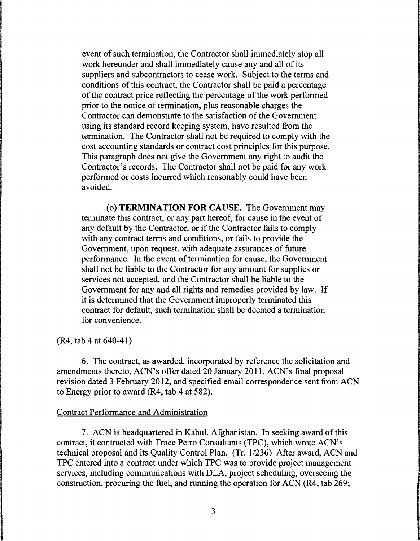event of such termination, the Contractor shall immediately stop all work hereunder and shall immediately cause any and all of its suppliers and subcontractors to cease work. Subject to the terms and conditions of this contract, the Contractor shall be paid a percentage of the contract price reflecting the percentage of the work performed prior to the notice of termination, plus reasonable charges the Contractor can demonstrate to the satisfaction of the Government using its standard record keeping system, have resulted from the termination. The Contractor shall not be required to comply with the cost accounting standards or contract cost principles for this purpose. This paragraph does not give the Government any right to audit the Contractor's records. The Contractor shall not be paid for any work performed or costs incurred which reasonably could have been avoided.

(o) **TERMINATION FOR** CAUSE. The Government may terminate this contract, or any part hereof, for cause in the event of any default by the Contractor, or if the Contractor fails to comply with any contract terms and conditions, or fails to provide the Government, upon request, with adequate assurances of future performance. In the event of termination for cause, the Government shall not be liable to the Contractor for any amount for supplies or services not accepted, and the Contractor shall be liable to the Government for any and all rights and remedies provided by law. If it is determined that the Government improperly terminated this contract for default, such termination shall be deemed a termination for convenience.

(R4, tab 4 at 640-41)

6. The contract, as awarded, incorporated by reference the solicitation and amendments thereto, ACN's offer dated 20 January 2011, ACN's final proposal revision dated 3 February 2012, and specified email correspondence sent from ACN to Energy prior to award (R4, tab 4 at 582).

#### Contract Performance and Administration

7. ACN is headquartered in Kabul, Afghanistan. In seeking award of this contract, it contracted with Trace Petro Consultants {TPC), which wrote ACN's technical proposal and its Quality Control Plan. (Tr. 1/236) After award, ACN and TPC entered into a contract under which TPC was to provide project management services, including communications with DLA, project scheduling, overseeing the construction, procuring the fuel, and running the operation for ACN (R4, tab 269;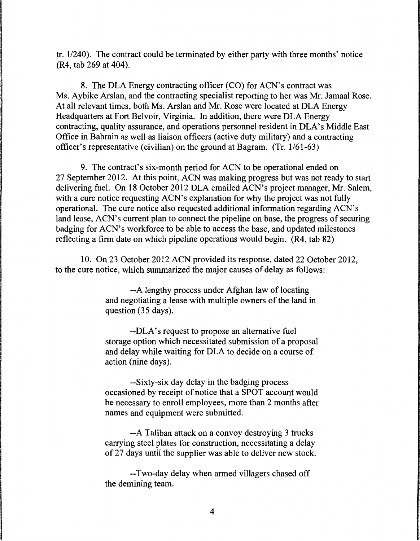tr.  $1/240$ ). The contract could be terminated by either party with three months' notice (R4, tab 269 at 404).

8. The DLA Energy contracting officer (CO) for ACN's contract was Ms. Aybike Arslan, and the contracting specialist reporting to her was Mr. Jamaal Rose. At all relevant times, both Ms. Arslan and Mr. Rose were located at DLA Energy Headquarters at Fort Belvoir, Virginia. In addition, there were DLA Energy contracting, quality assurance, and operations personnel resident in DLA's Middle East Office in Bahrain as well as liaison officers (active duty military) and a contracting officer's representative (civilian) on the ground at Bagram. (Tr. 1/61-63)

9. The contract's six-month period for ACN to be operational ended on 27 September 2012. At this point, ACN was making progress but was not ready to start delivering fuel. On 18 October 2012 DLA emailed ACN's project manager, Mr. Salem, with a cure notice requesting ACN's explanation for why the project was not fully operational. The cure notice also requested additional information regarding ACN's land lease, ACN's current plan to connect the pipeline on base, the progress of securing badging for ACN's workforce to be able to access the base, and updated milestones reflecting a firm date on which pipeline operations would begin. (R4, tab 82)

10. On 23 October 2012 ACN provided its response, dated 22 October 2012, to the cure notice, which summarized the major causes of delay as follows:

> --A lengthy process under Afghan law of locating and negotiating a lease with multiple owners of the land in question (35 days).

> --DLA's request to propose an alternative fuel storage option which necessitated submission of a proposal and delay while waiting for DLA to decide on a course of action (nine days).

> --Sixty-six day delay in the badging process occasioned by receipt of notice that a SPOT account would be necessary to enroll employees, more than 2 months after names and equipment were submitted.

--A Taliban attack on a convoy destroying 3 trucks carrying steel plates for construction, necessitating a delay of 27 days until the supplier was able to deliver new stock.

--Two-day delay when armed villagers chased off the demining team.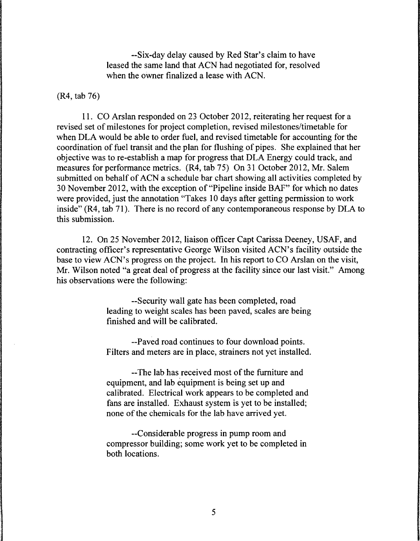--Six-day delay caused by Red Star's claim to have leased the same land that ACN had negotiated for, resolved when the owner finalized a lease with ACN.

(R4, tab 76)

11. CO Arslan responded on 23 October 2012, reiterating her request for a revised set of milestones for project completion, revised milestones/timetable for when DLA would be able to order fuel, and revised timetable for accounting for the coordination of fuel transit and the plan for flushing of pipes. She explained that her objective was to re-establish a map for progress that DLA Energy could track, and measures for performance metrics. (R4, tab 75) On 31 October 2012, Mr. Salem submitted on behalf of ACN a schedule bar chart showing all activities completed by 30 November 2012, with the exception of "Pipeline inside BAF" for which no dates were provided, just the annotation "Takes 10 days after getting permission to work inside" (R4, tab 71). There is no record of any contemporaneous response by DLA to this submission.

12. On 25 November 2012, liaison officer Capt Carissa Deeney, USAF, and contracting officer's representative George Wilson visited ACN's facility outside the base to view ACN's progress on the project. In his report to CO Arslan on the visit, Mr. Wilson noted "a great deal of progress at the facility since our last visit." Among his observations were the following:

> --Security wall gate has been completed, road leading to weight scales has been paved, scales are being finished and will be calibrated.

> --Paved road continues to four download points. Filters and meters are in place, strainers not yet installed.

--The lab has received most of the furniture and equipment, and lab equipment is being set up and calibrated. Electrical work appears to be completed and fans are installed. Exhaust system is yet to be installed; none of the chemicals for the lab have arrived yet.

--Considerable progress in pump room and compressor building; some work yet to be completed in both locations.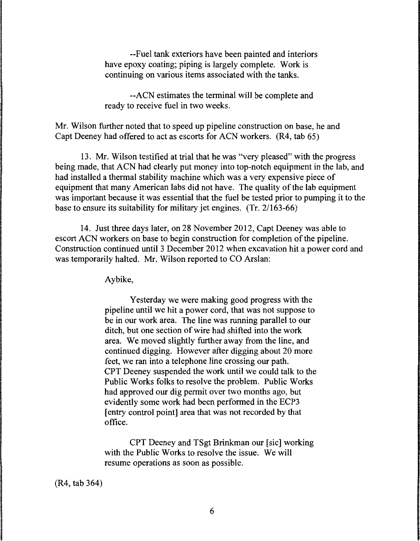--Fuel tank exteriors have been painted and interiors have epoxy coating; piping is largely complete. Work is continuing on various items associated with the tanks.

--ACN estimates the terminal will be complete and ready to receive fuel in two weeks.

Mr. Wilson further noted that to speed up pipeline construction on base, he and Capt Deeney had offered to act as escorts for ACN workers. (R4, tab 65)

13. Mr. Wilson testified at trial that he was "very pleased" with the progress being made, that ACN had clearly put money into top-notch equipment in the lab, and had installed a thermal stability machine which was a very expensive piece of equipment that many American labs did not have. The quality of the lab equipment was important because it was essential that the fuel be tested prior to pumping it to the base to ensure its suitability for military jet engines. (Tr. 2/163-66)

14. Just three days later, on 28 November 2012, Capt Deeney was able to escort ACN workers on base to begin construction for completion of the pipeline. Construction continued until 3 December 2012 when excavation hit a power cord and was temporarily halted. Mr. Wilson reported to CO Arslan:

Aybike,

Yesterday we were making good progress with the pipeline until we hit a power cord, that was not suppose to be in our work area. The line was running parallel to our ditch, but one section of wire had shifted into the work area. We moved slightly further away from the line, and continued digging. However after digging about 20 more feet, we ran into a telephone line crossing our path. CPT Deeney suspended the work until we could talk to the Public Works folks to resolve the problem. Public Works had approved our dig permit over two months ago, but evidently some work had been performed in the ECP3 [entry control point] area that was not recorded by that office.

CPT Deeney and TSgt Brinkman our [sic] working with the Public Works to resolve the issue. We will resume operations as soon as possible.

(R4, tab 364)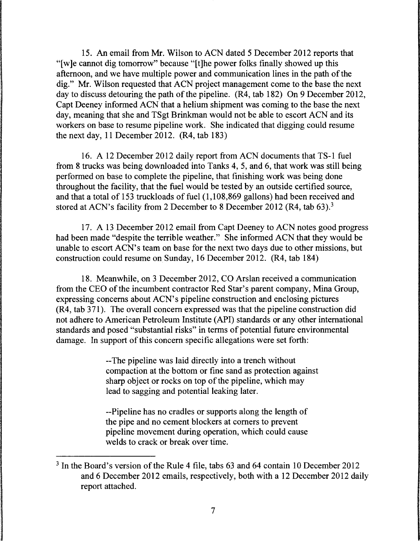15. An email from Mr. Wilson to ACN dated 5 December 2012 reports that "[w]e cannot dig tomorrow" because "[t]he power folks finally showed up this afternoon, and we have multiple power and communication lines in the path of the dig." Mr. Wilson requested that ACN project management come to the base the next day to discuss detouring the path of the pipeline. (R4, tab 182) On 9 December 2012, Capt Deeney informed ACN that a helium shipment was coming to the base the next day, meaning that she and TSgt Brinkman would not be able to escort ACN and its workers on base to resume pipeline work. She indicated that digging could resume the next day, 11 December 2012. (R4, tab 183)

16. A 12 December 2012 daily report from ACN documents that TS-1 fuel from 8 trucks was being downloaded into Tanks 4, 5, and 6, that work was still being performed on base to complete the pipeline, that finishing work was being done throughout the facility, that the fuel would be tested by an outside certified source, and that a total of 153 truckloads of fuel (1,108,869 gallons) had been received and stored at ACN's facility from 2 December to 8 December 2012 (R4, tab 63).<sup>3</sup>

17. A 13 December 2012 email from Capt Deeney to ACN notes good progress had been made "despite the terrible weather." She informed ACN that they would be unable to escort ACN's team on base for the next two days due to other missions, but construction could resume on Sunday, 16 December 2012. (R4, tab 184)

18. Meanwhile, on 3 December 2012, CO Arslan received a communication from the CEO of the incumbent contractor Red Star's parent company, Mina Group, expressing concerns about ACN's pipeline construction and enclosing pictures (R4, tab 371). The overall concern expressed was that the pipeline construction did not adhere to American Petroleum Institute (API) standards or any other international standards and posed "substantial risks" in terms of potential future environmental damage. In support of this concern specific allegations were set forth:

> --The pipeline was laid directly into a trench without compaction at the bottom or fine sand as protection against sharp object or rocks on top of the pipeline, which may lead to sagging and potential leaking later.

--Pipeline has no cradles or supports along the length of the pipe and no cement blockers at comers to prevent pipeline movement during operation, which could cause welds to crack or break over time.

<sup>3</sup> In the Board's version of the Rule 4 file, tabs 63 and 64 contain 10 December 2012 and 6 December 2012 emails, respectively, both with a 12 December 2012 daily report attached.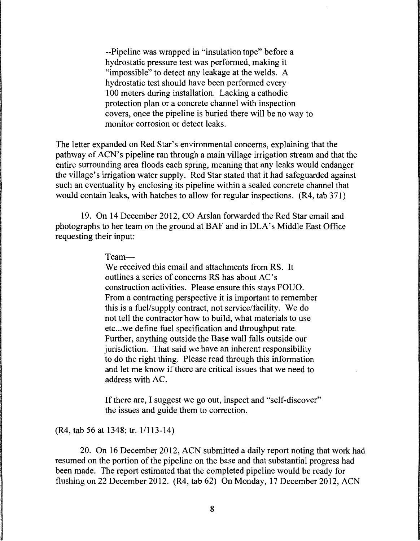--Pipeline was wrapped in "insulation tape" before a hydrostatic pressure test was performed, making it "impossible" to detect any leakage at the welds. A hydrostatic test should have been performed every 100 meters during installation. Lacking a cathodic protection plan or a concrete channel with inspection covers, once the pipeline is buried there will be no way to monitor corrosion or detect leaks.

The letter expanded on Red Star's environmental concerns, explaining that the pathway of ACN's pipeline ran through a main village irrigation stream and that the entire surrounding area floods each spring, meaning that any leaks would endanger the village's irrigation water supply. Red Star stated that it had safeguarded against such an eventuality by enclosing its pipeline within a sealed concrete channel that would contain leaks, with hatches to allow for regular inspections. (R4, tab 371)

19. On 14 December 2012, CO Arslan forwarded the Red Star email and photographs to her team on the ground at BAF and in DLA's Middle East Office requesting their input:

#### Team-

We received this email and attachments from RS. It outlines a series of concerns RS has about AC's construction activities. Please ensure this stays FOUO. From a contracting perspective it is important to remember this is a fuel/supply contract, not service/facility. We do not tell the contractor how to build, what materials to use etc... we define fuel specification and throughput rate. Further, anything outside the Base wall falls outside our jurisdiction. That said we have an inherent responsibility to do the right thing. Please read through this information and let me know if there are critical issues that we need to address with AC.

If there are, I suggest we go out, inspect and "self-discover" the issues and guide them to correction.

(R4, tab 56 at 1348; tr. 1/113-14)

20. On 16 December 2012, ACN submitted a daily report noting that work had resumed on the portion of the pipeline on the base and that substantial progress had been made. The report estimated that the completed pipeline would be ready for flushing on 22 December 2012. (R4, tab 62) On Monday, 17 December 2012, ACN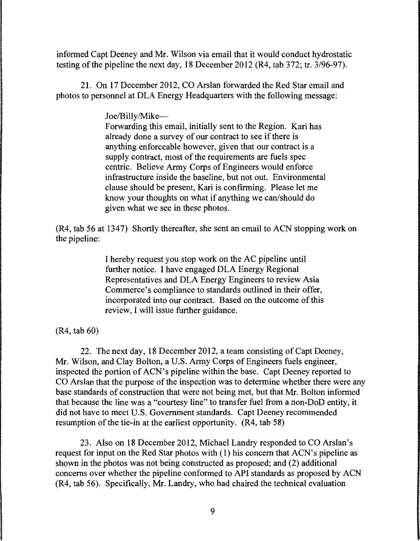informed Capt Deeney and Mr. Wilson via email that it would conduct hydrostatic testing of the pipeline the next day, 18 December 2012 (R4, tab 372; tr. 3/96-97).

21. On 17 December 2012, CO Arslan forwarded the Red Star email and photos to personnel at DLA Energy Headquarters with the following message:

Joe/Billy/Mike-

Forwarding this email, initially sent to the Region. Kari has already done a survey of our contract to see if there is anything enforceable however, given that our contract is a supply contract, most of the requirements are fuels spec centric. Believe Army Corps of Engineers would enforce infrastructure inside the baseline, but not out. Environmental clause should be present, Kari is confirming. Please let me know your thoughts on what if anything we can/should do given what we see in these photos.

(R4, tab 56 at 1347) Shortly thereafter, she sent an email to ACN stopping work on the pipeline:

> I hereby request you stop work on the AC pipeline until further notice. I have engaged DLA Energy Regional Representatives and DLA Energy Engineers to review Asia Commerce's compliance to standards outlined in their offer, incorporated into our contract. Based on the outcome of this review, I will issue further guidance.

(R4, tab 60)

22. The next day, 18 December 2012, a team consisting of Capt Deeney, Mr. Wilson, and Clay Bolton, a U.S. Army Corps of Engineers fuels engineer, inspected the portion of ACN's pipeline within the base. Capt Deeney reported to CO Arslan that the purpose of the inspection was to determine whether there were any base standards of construction that were not being met, but that Mr. Bolton informed that because the line was a "courtesy line" to transfer fuel from a non-DoD entity, it did not have to meet U.S. Government standards. Capt Deeney recommended resumption of the tie-in at the earliest opportunity. (R4, tab 58)

23. Also on 18 December 2012, Michael Landry responded to CO Arslan's request for input on the Red Star photos with (1) his concern that ACN's pipeline as shown in the photos was not being constructed as proposed; and (2) additional concerns over whether the pipeline conformed to API standards as proposed by ACN (R4, tab 56). Specifically, Mr. Landry, who had chaired the technical evaluation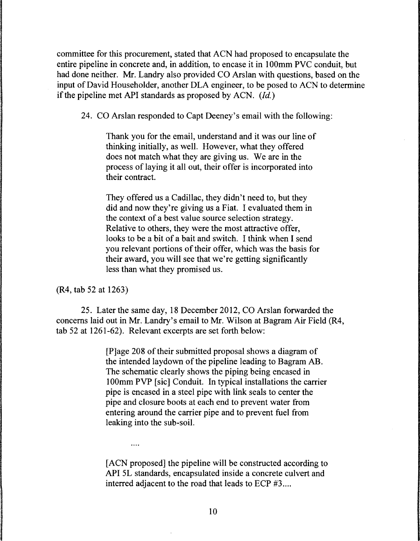committee for this procurement, stated that ACN had proposed to encapsulate the entire pipeline in concrete and, in addition, to encase it in 1 OOmm PVC conduit, but had done neither. Mr. Landry also provided CO Arslan with questions, based on the input of David Householder, another DLA engineer, to be posed to ACN to determine if the pipeline met API standards as proposed by ACN. *(Id.)* 

24. CO Arslan responded to Capt Deeney's email with the following:

Thank you for the email, understand and it was our line of thinking initially, as well. However, what they offered does not match what they are giving us. We are in the process of laying it all out, their offer is incorporated into their contract.

They offered us a Cadillac, they didn't need to, but they did and now they're giving us a Fiat. I evaluated them in the context of a best value source selection strategy. Relative to others, they were the most attractive offer, looks to be a bit of a bait and switch. I think when I send you relevant portions of their offer, which was the basis for their award, you will see that we're getting significantly less than what they promised us.

(R4, tab 52 at 1263)

 $\cdots$ 

25. Later the same day, 18 December 2012, CO Arslan forwarded the concerns laid out in Mr. Landry's email to Mr. Wilson at Bagram Air Field (R4, tab 52 at 1261-62). Relevant excerpts are set forth below:

> [P]age 208 of their submitted proposal shows a diagram of the intended laydown of the pipeline leading to Bagram AB. The schematic clearly shows the piping being encased in 100mm PVP [sic] Conduit. In typical installations the carrier pipe is encased in a steel pipe with link seals to center the pipe and closure boots at each end to prevent water from entering around the carrier pipe and to prevent fuel from leaking into the sub-soil.

> [ ACN proposed] the pipeline will be constructed according to API 5L standards, encapsulated inside a concrete culvert and interred adjacent to the road that leads to ECP #3...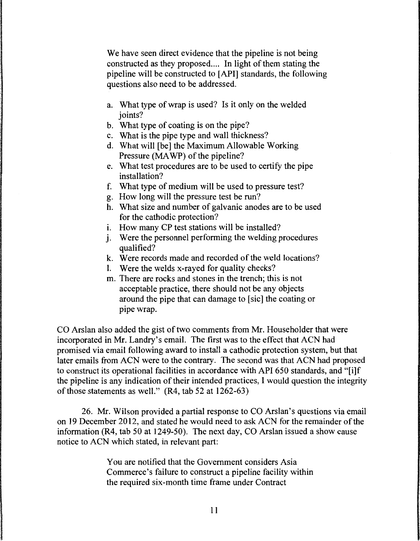We have seen direct evidence that the pipeline is not being constructed as they proposed.... In light of them stating the pipeline will be constructed to [ API] standards, the following questions also need to be addressed.

- a. What type of wrap is used? Is it only on the welded ioints?
- b. What type of coating is on the pipe?
- c. What is the pipe type and wall thickness?
- d. What will [be] the Maximum Allowable Working Pressure (MAWP) of the pipeline?
- e. What test procedures are to be used to certify the pipe installation?
- f. What type of medium will be used to pressure test?
- g. How long will the pressure test be run?
- h. What size and number of galvanic anodes are to be used for the cathodic protection?
- i. How many CP test stations will be installed?
- i. Were the personnel performing the welding procedures qualified?
- k. Were records made and recorded of the weld locations?
- l. Were the welds x-rayed for quality checks?
- m. There are rocks and stones in the trench; this is not acceptable practice, there should not be any objects around the pipe that can damage to [sic] the coating or pipe wrap.

CO Arslan also added the gist of two comments from Mr. Householder that were incorporated in Mr. Landry's email. The first was to the effect that ACN had promised via email following award to install a cathodic protection system, but that later emails from ACN were to the contrary. The second was that ACN had proposed to construct its operational facilities in accordance with API 650 standards, and "[i]f the pipeline is any indication of their intended practices, I would question the integrity of those statements as well." (R4, tab 52 at 1262-63)

26. Mr. Wilson provided a partial response to CO Arslan's questions via email on 19 December 2012, and stated he would need to ask ACN for the remainder of the information (R4, tab 50 at 1249-50). The next day, CO Arslan issued a show cause notice to ACN which stated, in relevant part:

> You are notified that the Government considers Asia Commerce's failure to construct a pipeline facility within the required six-month time frame under Contract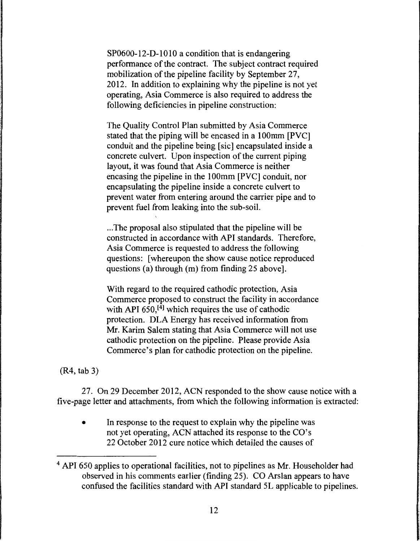SP0600-12-D-1010 a condition that is endangering performance of the contract. The subject contract required mobilization of the pipeline facility by September 27, 2012. In addition to explaining why the pipeline is not yet operating, Asia Commerce is also required to address the following deficiencies in pipeline construction:

The Quality Control Plan submitted by Asia Commerce stated that the piping will be encased in a 100mm [PVC] conduit and the pipeline being [sic] encapsulated inside a concrete culvert. Upon inspection of the current piping layout, it was found that Asia Commerce is neither encasing the pipeline in the 1 OOmm [PVC] conduit, nor encapsulating the pipeline inside a concrete culvert to prevent water from entering around the carrier pipe and to prevent fuel from leaking into the sub-soil.

... The proposal also stipulated that the pipeline will be constructed in accordance with API standards. Therefore, Asia Commerce is requested to address the following questions: [whereupon the show cause notice reproduced questions (a) through (m) from finding 25 above].

With regard to the required cathodic protection, Asia Commerce proposed to construct the facility in accordance with API 650,<sup>[4]</sup> which requires the use of cathodic protection. DLA Energy has received information from Mr. Karim Salem stating that Asia Commerce will not use cathodic protection on the pipeline. Please provide Asia Commerce's plan for cathodic protection on the pipeline.

(R4, tab 3)

27. On 29 December 2012, ACN responded to the show cause notice with a five-page letter and attachments, from which the following information is extracted:

• In response to the request to explain why the pipeline was not yet operating, ACN attached its response to the CO's 22 October 2012 cure notice which detailed the causes of

<sup>4</sup> API 650 applies to operational facilities, not to pipelines as Mr. Householder had observed in his comments earlier (finding 25). CO Arslan appears to have confused the facilities standard with API standard SL applicable to pipelines.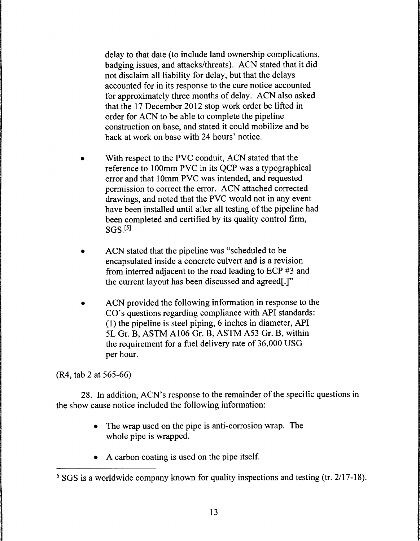delay to that date (to include land ownership complications, badging issues, and attacks/threats). ACN stated that it did not disclaim all liability for delay, but that the delays accounted for in its response to the cure notice accounted for approximately three months of delay. ACN also asked that the 17 December 2012 stop work order be lifted in order for ACN to be able to complete the pipeline construction on base, and stated it could mobilize and be back at work on base with 24 hours' notice.

- With respect to the PVC conduit, ACN stated that the reference to 100mm PVC in its OCP was a typographical error and that 10mm PVC was intended, and requested permission to correct the error. ACN attached corrected drawings, and noted that the PVC would not in any event have been installed until after all testing of the pipeline had been completed and certified by its quality control firm,  $SGS<sub>1</sub><sup>[5]</sup>$
- ACN stated that the pipeline was "scheduled to be encapsulated inside a concrete culvert and is a revision from interred adjacent to the road leading to ECP #3 and the current layout has been discussed and agreed[.]"
- ACN provided the following information in response to the CO's questions regarding compliance with API standards: (1) the pipeline is steel piping, 6 inches in diameter, API SL Gr. B, ASTM A106 Gr. B, ASTM A53 Gr. B, within the requirement for a fuel delivery rate of 36,000 USG per hour.

(R4, tab 2 at 565-66)

28. In addition, ACN's response to the remainder of the specific questions in the show cause notice included the following information:

- The wrap used on the pipe is anti-corrosion wrap. The whole pipe is wrapped.
- A carbon coating is used on the pipe itself.

<sup>&</sup>lt;sup>5</sup> SGS is a worldwide company known for quality inspections and testing (tr. 2/17-18).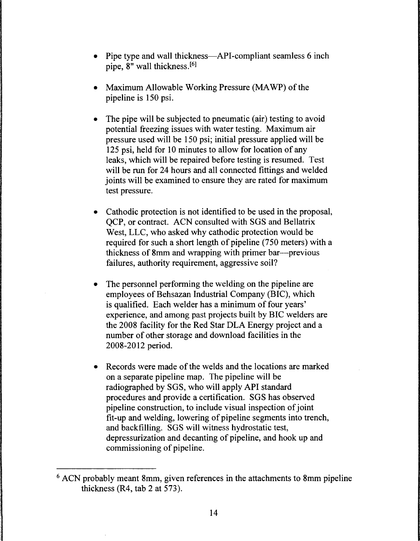- Pipe type and wall thickness—API-compliant seamless 6 inch pipe, 8" wall thickness.<sup>[6]</sup>
- Maximum Allowable Working Pressure (MA WP) of the pipeline is 150 psi.
- The pipe will be subjected to pneumatic (air) testing to avoid potential freezing issues with water testing. Maximum air pressure used will be 150 psi; initial pressure applied will be 125 psi, held for 10 minutes to allow for location of any leaks, which will be repaired before testing is resumed. Test will be run for 24 hours and all connected fittings and welded joints will be examined to ensure they are rated for maximum test pressure.
- Cathodic protection is not identified to be used in the proposal, QCP, or contract. ACN consulted with SGS and Bellatrix West, LLC, who asked why cathodic protection would be required for such a short length of pipeline (750 meters) with a thickness of 8mm and wrapping with primer bar—previous failures, authority requirement, aggressive soil?
- The personnel performing the welding on the pipeline are employees of Behsazan Industrial Company (BIC), which is qualified. Each welder has a minimum of four years' experience, and among past projects built by BIC welders are the 2008 facility for the Red Star DLA Energy project and a number of other storage and download facilities in the 2008-2012 period.
- Records were made of the welds and the locations are marked on a separate pipeline map. The pipeline will be radiographed by SGS, who will apply API standard procedures and provide a certification. SGS has observed pipeline construction, to include visual inspection of joint fit-up and welding, lowering of pipeline segments into trench, and backfilling. SGS will witness hydrostatic test, depressurization and decanting of pipeline, and hook up and commissioning of pipeline.

<sup>6</sup> ACN probably meant 8mm, given references in the attachments to 8mm pipeline thickness (R4, tab 2 at 573).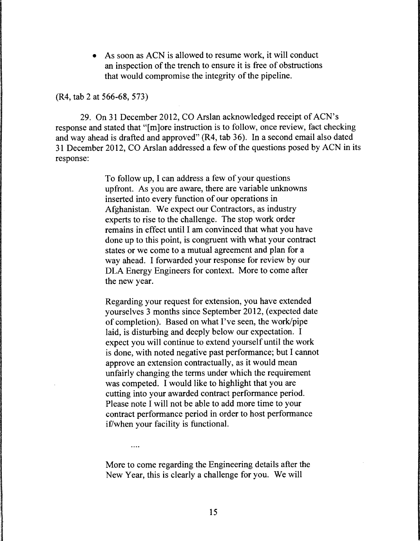As soon as ACN is allowed to resume work, it will conduct an inspection of the trench to ensure it is free of obstructions that would compromise the integrity of the pipeline.

(R4, tab 2 at 566-68, 573)

29. On 31 December 2012, CO Arslan acknowledged receipt of ACN's response and stated that "[m]ore instruction is to follow, once review, fact checking and way ahead is drafted and approved" (R4, tab 36). In a second email also dated 31December2012, CO Arslan addressed a few of the questions posed by ACN in its response:

> To follow up, I can address a few of your questions upfront. As you are aware, there are variable unknowns inserted into every function of our operations in Afghanistan. We expect our Contractors, as industry experts to rise to the challenge. The stop work order remains in effect until I am convinced that what you have done up to this point, is congruent with what your contract states or we come to a mutual agreement and plan for a way ahead. I forwarded your response for review by our DLA Energy Engineers for context. More to come after the new year.

Regarding your request for extension, you have extended yourselves 3 months since September 2012, (expected date of completion). Based on what I've seen, the work/pipe laid, is disturbing and deeply below our expectation. I expect you will continue to extend yourself until the work is done, with noted negative past performance; but I cannot approve an extension contractually, as it would mean unfairly changing the terms under which the requirement was competed. I would like to highlight that you are cutting into your awarded contract performance period. Please note I will not be able to add more time to your contract performance period in order to host performance if/when your facility is functional.

More to come regarding the Engineering details after the New Year, this is clearly a challenge for you. We will

 $\cdots$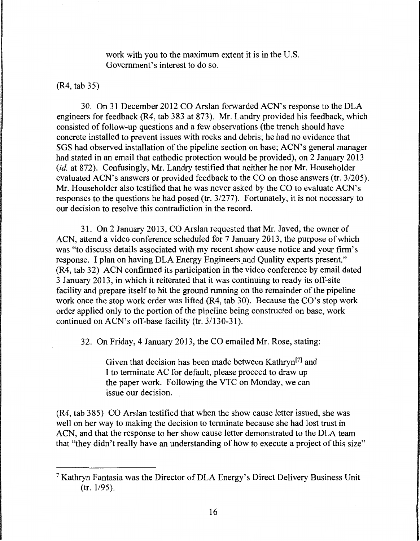work with you to the maximum extent it is in the U.S. Government's interest to do so.

# (R4, tab 35)

30. On 31December2012 CO Arslan forwarded ACN's response to the DLA engineers for feedback (R4, tab 383 at 873). Mr. Landry provided his feedback, which consisted of follow-up questions and a few observations (the trench should have concrete installed to prevent issues with rocks and debris; he had no evidence that SGS had observed installation of the pipeline section on base; ACN's general manager had stated in an email that cathodic protection would be provided), on 2 January 2013 *(id.* at 872). Confusingly, Mr. Landry testified that neither he nor Mr. Householder evaluated ACN's answers or provided feedback to the CO on those answers (tr. 3/205). Mr. Householder also testified that he was never asked by the CO to evaluate ACN's responses to the questions he had posed (tr. 3/277). Fortunately, it is not necessary to our decision to resolve this contradiction in the record.

31. On 2 January 2013, CO Arslan requested that Mr. Javed, the owner of ACN, attend a video conference scheduled for 7 January 2013, the purpose of which was "to discuss details associated with my recent show cause notice and your firm's response. I plan on having DLA Energy Engineers and Quality experts present." (R4, tab 32) ACN confirmed its participation in the video conference by email dated 3 January 2013, in which it reiterated that it was continuing to ready its off-site facility and prepare itself to hit the ground running on the remainder of the pipeline work once the stop work order was lifted (R4, tab 30). Because the CO's stop work order applied only to the portion of the pipeline being constructed on base, work continued on ACN's off-base facility (tr. 3/130-31).

32. On Friday, 4 January 2013, the CO emailed Mr. Rose, stating:

Given that decision has been made between Kathryn<sup>[7]</sup> and I to terminate AC for default, please proceed to draw up the paper work. Following the VTC on Monday, we can issue our decision.

(R4, tab 385) CO Arslan testified that when the show cause letter issued, she was well on her way to making the decision to terminate because she had lost trust in ACN, and that the response to her show cause letter demonstrated to the DLA team that "they didn't really have an understanding of how to execute a project of this size"

<sup>7</sup> Kathryn Fantasia was the Director of DLA Energy's Direct Delivery Business Unit (tr. 1/95).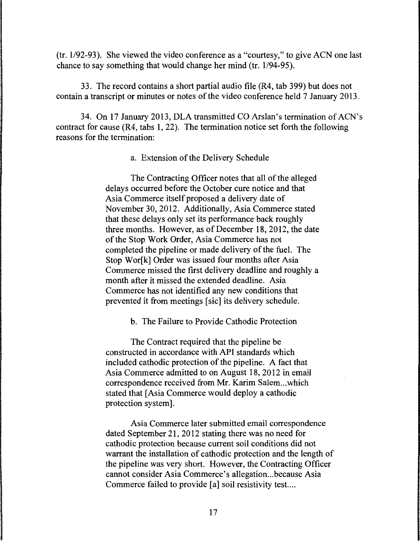(tr. 1/92-93). She viewed the video conference as a "courtesy," to give ACN one last chance to say something that would change her mind (tr. 1/94-95).

33. The record contains a short partial audio file (R4, tab 399) but does not contain a transcript or minutes or notes of the video conference held 7 January 2013.

34. On 17 January 2013, DLA transmitted CO Arslan's termination of ACN's contract for cause (R4, tabs 1, 22). The termination notice set forth the following reasons for the termination:

a. Extension of the Delivery Schedule

The Contracting Officer notes that all of the alleged delays occurred before the October cure notice and that Asia Commerce itself proposed a delivery date of November 30, 2012. Additionally, Asia Commerce stated that these delays only set its performance back roughly three months. However, as of December 18, 2012, the date of the Stop Work Order, Asia Commerce has not completed the pipeline or made delivery of the fuel. The Stop Worlkl Order was issued four months after Asia Commerce missed the first delivery deadline and roughly a month after it missed the extended deadline. Asia Commerce has not identified any new conditions that prevented it from meetings [sic] its delivery schedule.

b. The Failure to Provide Cathodic Protection

The Contract required that the pipeline be constructed in accordance with API standards which included cathodic protection of the pipeline. A fact that Asia Commerce admitted to on August 18, 2012 in email correspondence received from Mr. Karim Salem...which stated that [Asia Commerce would deploy a cathodic protection system].

Asia Commerce later submitted email correspondence dated September 21, 2012 stating there was no need for cathodic protection because current soil conditions did not warrant the installation of cathodic protection and the length of the pipeline was very short. However, the Contracting Officer cannot consider Asia Commerce's allegation ... because Asia Commerce failed to provide [a] soil resistivity test....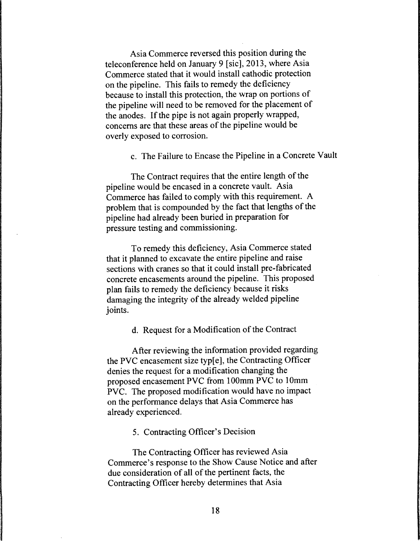Asia Commerce reversed this position during the teleconference held on January 9 [sic], 2013, where Asia Commerce stated that it would install cathodic protection on the pipeline. This fails to remedy the deficiency because to install this protection, the wrap on portions of the pipeline will need to be removed for the placement of the anodes. If the pipe is not again properly wrapped, concerns are that these areas of the pipeline would be overly exposed to corrosion.

c. The Failure to Encase the Pipeline in a Concrete Vault

The Contract requires that the entire length of the pipeline would be encased in a concrete vault. Asia Commerce has failed to comply with this requirement. A problem that is compounded by the fact that lengths of the pipeline had already been buried in preparation for pressure testing and commissioning.

To remedy this deficiency, Asia Commerce stated that it planned to excavate the entire pipeline and raise sections with cranes so that it could install pre-fabricated concrete encasements around the pipeline. This proposed plan fails to remedy the deficiency because it risks damaging the integrity of the already welded pipeline joints.

d. Request for a Modification of the Contract

After reviewing the information provided regarding the PVC encasement size typ[e], the Contracting Officer denies the request for a modification changing the proposed encasement PVC from lOOmm PVC to lOmm PVC. The proposed modification would have no impact on the performance delays that Asia Commerce has already experienced.

5. Contracting Officer's Decision

The Contracting Officer has reviewed Asia Commerce's response to the Show Cause Notice and after due consideration of all of the pertinent facts, the Contracting Officer hereby determines that Asia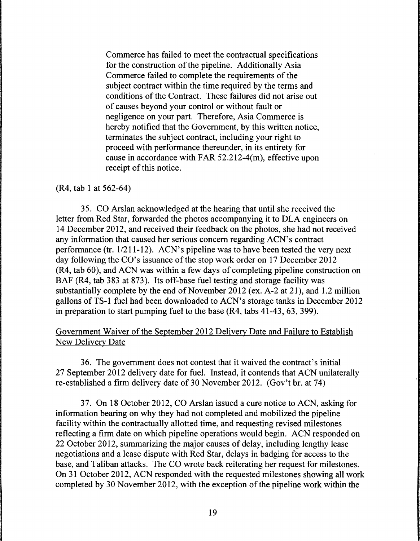Commerce has failed to meet the contractual specifications for the construction of the pipeline. Additionally Asia Commerce failed to complete the requirements of the subject contract within the time required by the terms and conditions of the Contract. These failures did not arise out of causes beyond your control or without fault or negligence on your part. Therefore, Asia Commerce is hereby notified that the Government, by this written notice, terminates the subject contract, including your right to proceed with performance thereunder, in its entirety for cause in accordance with FAR 52.212-4(m), effective upon receipt of this notice.

#### (R4, tab 1 at 562-64)

35. CO Arslan acknowledged at the hearing that until she received the letter from Red Star, forwarded the photos accompanying it to DLA engineers on 14 December 2012, and received their feedback on the photos, she had not received any information that caused her serious concern regarding ACN's· contract performance (tr.  $1/211-12$ ). ACN's pipeline was to have been tested the very next day following the CO's issuance of the stop work order on 17 December 2012 (R4, tab 60), and ACN was within a few days of completing pipeline construction on BAF (R4, tab 383 at 873). Its off-base fuel testing and storage facility was substantially complete by the end of November 2012 (ex. A-2 at 21), and 1.2 million gallons ofTS-1 fuel had been downloaded to ACN's storage tanks in December 2012 in preparation to start pumping fuel to the base (R4, tabs 41-43, 63, 399).

# Government Waiver of the September 2012 Delivery Date and Failure to Establish New Delivery Date

36. The government does not contest that it waived the contract's initial 27 September 2012 delivery date for fuel. Instead, it contends that ACN unilaterally re-established a firm delivery date of 30 November 2012. (Gov't br. at 74)

37. On 18 October 2012, CO Arslan issued a cure notice to ACN, asking for information bearing on why they had not completed and mobilized the pipeline facility within the contractually allotted time, and requesting revised milestones reflecting a firm date on which pipeline operations would begin. ACN responded on 22 October 2012, summarizing the major causes of delay, including lengthy lease negotiations and a lease dispute with Red Star, delays in badging for access to the base, and Taliban attacks. The CO wrote back reiterating her request for milestones. On 31 October 2012, ACN responded with the requested milestones showing all work completed by 30 November 2012, with the exception of the pipeline work within the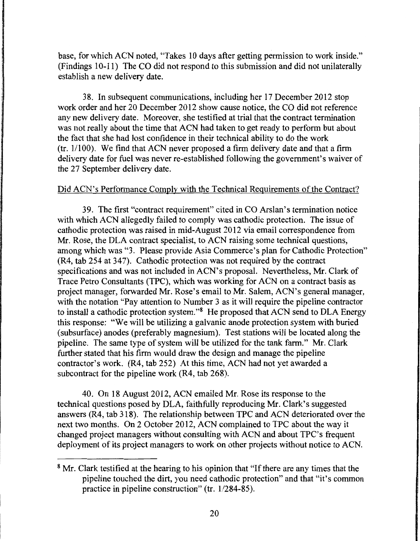base, for which ACN noted, "Takes 10 days after getting permission to work inside." (Findings 10-11) The CO did not respond to this submission and did not unilaterally establish a new delivery date.

38. In subsequent communications, including her 17 December 2012 stop work order and her 20 December 2012 show cause notice, the CO did not reference any new delivery date. Moreover, she testified at trial that the contract termination was not really about the time that ACN had taken to get ready to perform but about the fact that she had lost confidence in their technical ability to do the work (tr. 1/100). We find that ACN never proposed a firm delivery date and that a firm delivery date for fuel was never re-established following the government's waiver of the 27 September delivery date.

# Did ACN's Performance Comply with the Technical Requirements of the Contract?

39. The first "contract requirement" cited in CO Arslan's termination notice with which ACN allegedly failed to comply was cathodic protection. The issue of cathodic protection was raised in mid-August 2012 via email correspondence from Mr. Rose, the DLA contract specialist, to ACN raising some technical questions, among which was "3. Please provide Asia Commerce's plan for Cathodic Protection" (R4, tab 254 at 347). Cathodic protection was not required by the contract specifications and was not included in ACN's proposal. Nevertheless, Mr. Clark of Trace Petro Consultants (TPC), which was working for ACN on a contract basis as project manager, forwarded Mr. Rose's email to Mr. Salem, ACN's general manager, with the notation "Pay attention to Number 3 as it will require the pipeline contractor to install a cathodic protection system."8 He proposed that ACN send to DLA Energy this response: "We will be utilizing a galvanic anode protection system with buried (subsurface) anodes (preferably magnesium). Test stations will be located along the pipeline. The same type of system will be utilized for the tank farm." Mr. Clark further stated that his firm would draw the design and manage the pipeline contractor's work. (R4, tab 252) At this time, ACN had not yet awarded a subcontract for the pipeline work (R4, tab 268).

40. On 18 August 2012, ACN emailed Mr. Rose its response to the technical questions posed by DLA, faithfully reproducing Mr. Clark's suggested answers (R4, tab 318). The relationship between TPC and ACN deteriorated over the next two months. On 2 October 2012, ACN complained to TPC about the way it changed project managers without consulting with ACN and about TPC's frequent deployment of its project managers to work on other projects without notice to ACN.

<sup>&</sup>lt;sup>8</sup> Mr. Clark testified at the hearing to his opinion that "If there are any times that the pipeline touched the dirt, you need cathodic protection" and that "it's common practice in pipeline construction" (tr. 1/284-85).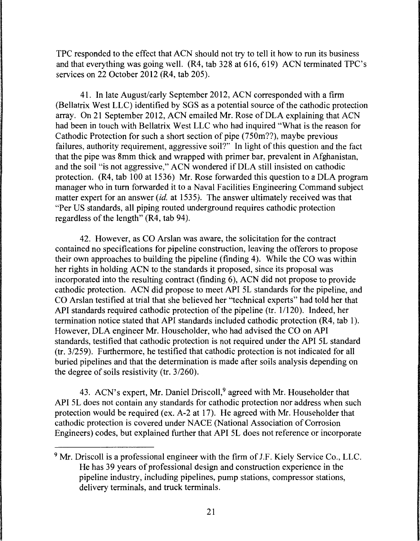TPC responded to the effect that ACN should not try to tell it how to run its business and that everything was going well. (R4, tab 328 at 616, 619) ACN terminated TPC's services on 22 October 2012 (R4, tab 205).

41. In late August/early September 2012, ACN corresponded with a firm (Bellatrix West LLC) identified by SGS as a potential source of the cathodic protection array. On 21 September 2012, ACN emailed Mr. Rose of DLA explaining that ACN had been in touch with Bellatrix West LLC who had inquired "What is the reason for Cathodic Protection for such a short section of pipe (750m??), maybe previous failures, authority requirement, aggressive soil?'' In light of this question and the fact that the pipe was 8mm thick and wrapped with primer bar, prevalent in Afghanistan, and the soil "is not aggressive," ACN wondered if DLA still insisted on cathodic protection. (R4, tab 100 at 1536) Mr. Rose forwarded this question to a DLA program manager who in tum forwarded it to a Naval Facilities Engineering Command subject matter expert for an answer *(id.* at 1535). The answer ultimately received was that "Per US standards, all piping routed underground requires cathodic protection regardless of the length" (R4, tab 94).

42. However, as CO Arslan was aware, the solicitation for the contract contained no specifications for pipeline construction, leaving the offerors to propose their own approaches to building the pipeline (finding 4). While the CO was within her rights in holding ACN to the standards it proposed, since its proposal was incorporated into the resulting contract (finding 6), ACN did not propose to provide cathodic protection. ACN did propose to meet API 5L standards for the pipeline, and CO Arslan testified at trial that she believed her "technical experts" had told her that API standards required cathodic protection of the pipeline (tr. 1/120). Indeed, her termination notice stated that API standards included cathodic protection (R4, tab 1 ). However, DLA engineer Mr. Householder, who had advised the CO on API standards, testified that cathodic protection is not required under the API 5L standard (tr. 3/259). Furthermore, he testified that cathodic protection is not indicated for all buried pipelines and that the determination is made after soils analysis depending on the degree of soils resistivity (tr. 3/260).

43. ACN's expert, Mr. Daniel Driscoll,<sup>9</sup> agreed with Mr. Householder that API 5L does not contain any standards for cathodic protection nor address when such protection would be required (ex. A-2 at 17). He agreed with Mr. Householder that cathodic protection is covered under NACE (National Association of Corrosion Engineers) codes, but explained further that API 5L does not reference or incorporate

<sup>&</sup>lt;sup>9</sup> Mr. Driscoll is a professional engineer with the firm of J.F. Kiely Service Co., LLC. He has 39 years of professional design and construction experience in the pipeline industry, including pipelines, pump stations, compressor stations, delivery terminals, and truck terminals.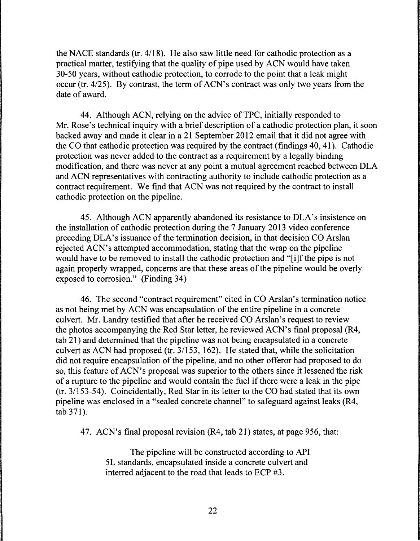the NACE standards (tr. 4118). He also saw little need for cathodic protection as a practical matter, testifying that the quality of pipe used by ACN would have taken 30-50 years, without cathodic protection, to corrode to the point that a leak might occur (tr. 4/25). By contrast, the term of ACN's contract was only two years from the date of award.

44. Although ACN, relying on the advice of TPC, initially responded to Mr. Rose's technical inquiry with a brief description of a cathodic protection plan, it soon backed away and made it clear in a 21 September 2012 email that it did not agree with the CO that cathodic protection was required by the contract (findings 40, 41). Cathodic protection was never added to the contract as a requirement by a legally binding modification, and there was never at any point a mutual agreement reached between DLA and ACN representatives with contracting authority to include cathodic protection as a contract requirement. We find that ACN was not required by the contract to install cathodic protection on the pipeline.

45. Although ACN apparently abandoned its resistance to DLA's insistence on the installation of cathodic protection during the 7 January 2013 video conference preceding DLA's issuance of the termination decision, in that decision CO Arslan rejected ACN's attempted accommodation, stating that the wrap on the pipeline would have to be removed to install the cathodic protection and "[i]f the pipe is not again properly wrapped, concerns are that these areas of the pipeline would be overly exposed to corrosion." (Finding 34)

46. The second "contract requirement" cited in CO Arslan's termination notice as not being met by ACN was encapsulation of the entire pipeline in a concrete culvert. Mr. Landry testified that after he received CO Arslan's request to review the photos accompanying the Red Star letter, he reviewed ACN's final proposal (R4, tab 21) and determined that the pipeline was not being encapsulated in a concrete culvert as ACN had proposed (tr. 3/153, 162). He stated that, while the solicitation did not require encapsulation of the pipeline, and no other offeror had proposed to do so, this feature of ACN's proposal was superior to the others since it lessened the risk of a rupture to the pipeline and would contain the fuel if there were a leak in the pipe (tr. 3/153-54). Coincidentally, Red Star in its letter to the CO had stated that its own pipeline was enclosed in a "sealed concrete channel" to safeguard against leaks (R4, tab 371).

47. ACN's final proposal revision (R4, tab 21) states, at page 956, that:

The pipeline will be constructed according to API SL standards, encapsulated inside a concrete culvert and interred adjacent to the road that leads to ECP #3.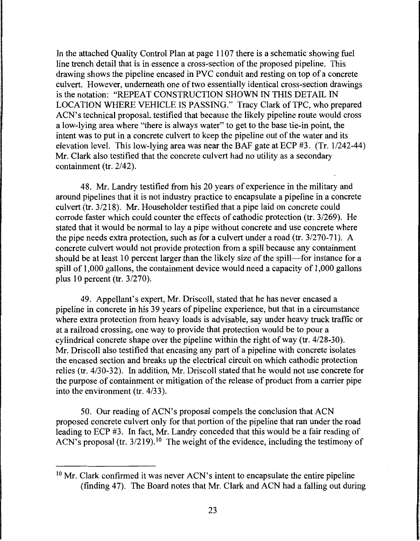In the attached Quality Control Plan at page 1107 there is a schematic showing fuel line trench detail that is in essence a cross-section of the proposed pipeline. This drawing shows the pipeline encased in PVC conduit and resting on top of a concrete culvert. However, underneath one of two essentially identical cross-section drawings is the notation: "REPEAT CONSTRUCTION SHOWN IN THIS DETAIL IN LOCATION WHERE VEHICLE IS PASSING." Tracy Clark of TPC, who prepared ACN's technical proposal, testified that because the likely pipeline route would cross a low-lying area where "there is always water" to get to the base tie-in point, the intent was to put in a concrete culvert to keep the pipeline out of the water and its elevation level. This low-lying area was near the BAF gate at ECP #3. (Tr. 1/242-44) Mr. Clark also testified that the concrete culvert had no utility as a secondary containment (tr. 2/42).

48. Mr. Landry testified from his 20 years of experience in the military and around pipelines that it is not industry practice to encapsulate a pipeline in a concrete culvert (tr. 3/218). Mr. Householder testified that a pipe laid on concrete could corrode faster which could counter the effects of cathodic protection (tr. 3/269). He stated that it would be normal to lay a pipe without concrete and use concrete where the pipe needs extra protection, such as for a culvert under a road (tr. 3/270-71). A concrete culvert would not provide protection from a spill because any containment should be at least 10 percent larger than the likely size of the spill-for instance for a spill of 1,000 gallons, the containment device would need a capacity of 1,000 gallons plus 10 percent (tr. 3/270).

49. Appellant's expert, Mr. Driscoll, stated that he has never encased a pipeline in concrete in his 39 years of pipeline experience, but that in a circumstance where extra protection from heavy loads is advisable, say under heavy truck traffic or at a railroad crossing, one way to provide that protection would be to pour a cylindrical concrete shape over the pipeline within the right of way (tr. 4/28-30). Mr. Driscoll also testified that encasing any part of a pipeline with concrete isolates the encased section and breaks up the electrical circuit on which cathodic protection relies (tr. 4/30-32). In addition, Mr. Driscoll stated that he would not use concrete for the purpose of containment or mitigation of the release of product from a carrier pipe into the environment (tr. 4/33).

50. Our reading of ACN's proposal compels the conclusion that ACN proposed concrete culvert only for that portion of the pipeline that ran under the road leading to ECP #3. In fact, Mr. Landry conceded that this would be a fair reading of ACN's proposal (tr.  $3/219$ ).<sup>10</sup> The weight of the evidence, including the testimony of

<sup>&</sup>lt;sup>10</sup> Mr. Clark confirmed it was never ACN's intent to encapsulate the entire pipeline (finding 47). The Board notes that Mr. Clark and ACN had a falling out during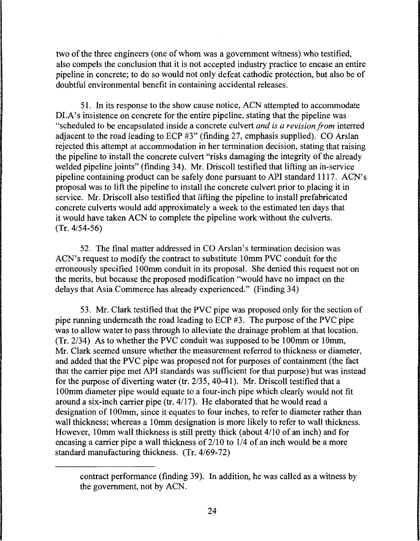two of the three engineers (one of whom was a government witness) who testified, also compels the conclusion that it is not accepted industry practice to encase an entire pipeline in concrete; to do so would not only defeat cathodic protection, but also be of doubtful environmental benefit in containing accidental releases.

51. In its response to the show cause notice, ACN attempted to accommodate DLA's insistence on concrete for the entire pipeline, stating that the pipeline was "scheduled to be encapsulated inside a concrete culvert *and is a revision from* interred adjacent to the road leading to ECP #3" (finding 27, emphasis supplied). CO Arslan rejected this attempt at accommodation in her termination decision, stating that raising the pipeline to install the concrete culvert "risks damaging the integrity of the already welded pipeline joints" (finding 34). Mr. Driscoll testified that lifting an in-service pipeline containing product can be safely done pursuant to API standard 1117. ACN's proposal was to lift the pipeline to install the concrete culvert prior to placing it in service. Mr. Driscoll also testified that lifting the pipeline to install prefabricated concrete culverts would add approximately a week to the estimated ten days that it would have taken ACN to complete the pipeline work without the culverts. (Tr. 4/54-56)

52. The final matter addressed in CO Arslan's termination decision was ACN's request to modify the contract to substitute lOmm PVC conduit for the erroneously specified 100mm conduit in its proposal. She denied this request not on the merits, but because the proposed modification "would have no impact on the delays that Asia Commerce has already experienced." (Finding 34)

53. Mr. Clark testified that the PVC pipe was proposed only for the section of pipe running underneath the road leading to ECP #3. The purpose of the PVC pipe was to allow water to pass through to alleviate the drainage problem at that location. (Tr. 2/34) As to whether the PVC conduit was supposed to be lOOmm or lOmm, Mr. Clark seemed unsure whether the measurement referred to thickness or diameter, and added that the PVC pipe was proposed not for purposes of containment (the fact that the carrier pipe met API standards was sufficient for that purpose) but was instead for the purpose of diverting water (tr. 2/35, 40-41). Mr. Driscoll testified that a lOOmm diameter pipe would equate to a four-inch pipe which clearly would not fit around a six-inch carrier pipe (tr. 4/17). He elaborated that he would read a designation of 100mm, since it equates to four inches, to refer to diameter rather than wall thickness; whereas a 10mm designation is more likely to refer to wall thickness. However, 10mm wall thickness is still pretty thick (about 4/10 of an inch) and for encasing a carrier pipe a wall thickness of 2/10 to 1/4 of an inch would be a more standard manufacturing thickness. (Tr. 4/69-72)

contract performance (finding 39). In addition, he was called as a witness by the government, not by ACN.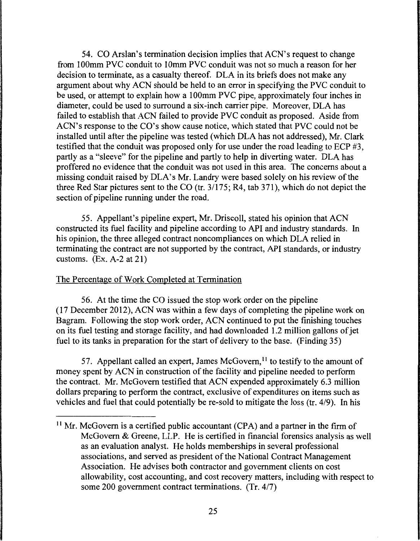54. CO Arslan's termination decision implies that ACN's request to change from 100mm PVC conduit to 10mm PVC conduit was not so much a reason for her decision to terminate, as a casualty thereof. DLA in its briefs does not make any argument about why ACN should be held to an error in specifying the PVC conduit to be used, or attempt to explain how a 100mm PVC pipe, approximately four inches in diameter, could be used to surround a six-inch carrier pipe. Moreover, DLA has failed to establish that ACN failed to provide PVC conduit as proposed. Aside from ACN's response to the CO's show cause notice, which stated that PVC could not be installed until after the pipeline was tested (which DLA has not addressed), Mr. Clark testified that the conduit was proposed only for use under the road leading to ECP #3, partly as a "sleeve" for the pipeline and partly to help in diverting water. DLA has proffered no evidence that the conduit was not used in this area. The concerns about a missing conduit raised by DLA's Mr. Landry were based solely on his review of the three Red Star pictures sent to the CO (tr. 3/175; R4, tab 371), which do not depict the section of pipeline running under the road.

55. Appellant's pipeline expert, Mr. Driscoll, stated his opinion that ACN constructed its fuel facility and pipeline according to API and industry standards. In his opinion, the three alleged contract noncompliances on which DLA relied in terminating the contract are not supported by the contract, API standards, or industry customs. (Ex. A-2 at 21)

### The Percentage of Work Completed at Termination

56. At the time the CO issued the stop work order on the pipeline (17 December 2012), ACN was within a few days of completing the pipeline work on Bagram. Following the stop work order, ACN continued to put the finishing touches on its fuel testing and storage facility, and had downloaded 1.2 million gallons of jet fuel to its tanks in preparation for the start of delivery to the base. (Finding 35)

57. Appellant called an expert, James McGovern,<sup>11</sup> to testify to the amount of money spent by ACN in construction of the facility and pipeline needed to perform the contract. Mr. McGovern testified that ACN expended approximately 6.3 million dollars preparing to perform the contract, exclusive of expenditures on items such as vehicles and fuel that could potentially be re-sold to mitigate the loss (tr. 4/9). In his

<sup>&</sup>lt;sup>11</sup> Mr. McGovern is a certified public accountant (CPA) and a partner in the firm of McGovern & Greene, LLP. He is certified in financial forensics analysis as well as an evaluation analyst. He holds memberships in several professional associations, and served as president of the National Contract Management Association. He advises both contractor and government clients on cost allowability, cost accounting, and cost recovery matters, including with respect to some 200 government contract terminations. (Tr. 4/7)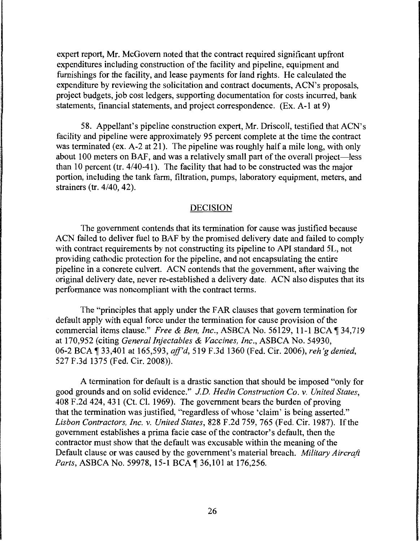expert report, Mr. McGovern noted that the contract required significant upfront expenditures including construction of the facility and pipeline, equipment and furnishings for the facility, and lease payments for land rights. He calculated the expenditure by reviewing the solicitation and contract documents, ACN's proposals, project budgets, job cost ledgers, supporting documentation for costs incurred, bank statements, financial statements, and project correspondence. (Ex. A-1 at 9)

58. Appellant's pipeline construction expert, Mr. Driscoll, testified that ACN's facility and pipeline were approximately 95 percent complete at the time the contract was terminated (ex. A-2 at 21). The pipeline was roughly half a mile long, with only about 100 meters on BAF, and was a relatively small part of the overall project—less than 10 percent (tr. 4/40-41). The facility that had to be constructed was the major portion, including the tank farm, filtration, pumps, laboratory equipment, meters, and strainers (tr. 4/40, 42).

#### DECISION

The government contends that its termination for cause was justified because ACN failed to deliver fuel to BAF by the promised delivery date and failed to comply with contract requirements by not constructing its pipeline to API standard SL, not providing cathodic protection for the pipeline, and not encapsulating the entire pipeline in a concrete culvert. ACN contends that the government, after waiving the original delivery date, never re-established a delivery date. ACN also disputes that its performance was noncompliant with the contract terms.

The "principles that apply under the FAR clauses that govern termination for default apply with equal force under the termination for cause provision of the commercial items clause." *Free & Ben, Inc., ASBCA No.* 56129, 11-1 BCA 134,719 at 170,952 (citing *General Injectables & Vaccines, Inc.,* ASBCA No. 54930, 06-2 BCA ¶ 33,401 at 165,593, *aff'd*, 519 F.3d 1360 (Fed. Cir. 2006), *reh'g denied*, 527 F.3d 1375 (Fed. Cir. 2008)).

A termination for default is a drastic sanction that should be imposed "only for good grounds and on solid evidence." *JD. Hedin Construction Co.* v. *United States,*  408 F .2d 424, 431 (Ct. Cl. 1969). The government bears the burden of proving that the termination was justified, "regardless of whose 'claim' is being asserted." *Lisbon Contractors, Inc.* v. *United States,* 828 F.2d 759, 765 (Fed. Cir. 1987). If the government establishes a prima facie case of the contractor's default, then the contractor must show that the default was excusable within the meaning of the Default clause or was caused by the government's material breach. *Military Aircraft*  Parts, ASBCA No. 59978, 15-1 BCA<sup>1</sup>36,101 at 176,256.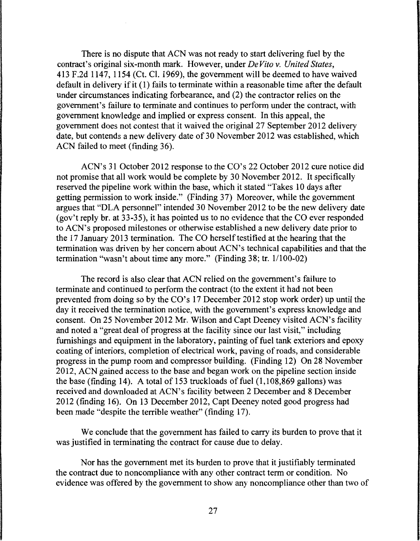There is no dispute that ACN was not ready to start delivering fuel by the contract's original six-month mark. However, under *De Vito v. United States,*  413 F.2d 1147, 1154 (Ct. Cl. 1969), the government will be deemed to have waived default in delivery if it (1) fails to terminate within a reasonable time after the default under circumstances indicating forbearance, and (2) the contractor relies on the government's failure to terminate and continues to perform under the contract, with government knowledge and implied or express consent. In this appeal, the government does not contest that it waived the original 27 September 2012 delivery date, but contends a new delivery date of 30 November 2012 was established, which ACN failed to meet (finding 36).

ACN's 31 October 2012 response to the CO's 22 October 2012 cure notice did not promise that all work would be complete by 30 November 2012. It specifically reserved the pipeline work within the base, which it stated "Takes 10 days after getting permission to work inside." (Finding 37) Moreover, while the government argues that "DLA personnel" intended 30 November 2012 to be the new delivery date (gov't reply hr. at 33-35), it has pointed us to no evidence that the CO ever responded to ACN's proposed milestones or otherwise established a new delivery date prior to the 17 January 2013 termination. The CO herself testified at the hearing that the termination was driven by her concern about ACN's technical capabilities and that the termination "wasn't about time any more." (Finding 38; tr. 1/100-02)

The record is also clear that ACN relied on the government's failure to terminate and continued to perform the contract (to the extent it had not been prevented from doing so by the CO's 17 December 2012 stop work order) up until the day it received the termination notice, with the government's express knowledge and consent. On 25 November 2012 Mr. Wilson and Capt Deeney visited ACN's facility and noted a "great deal of progress at the facility since our last visit," including furnishings and equipment in the laboratory, painting of fuel tank exteriors and epoxy coating of interiors, completion of electrical work, paving of roads, and considerable progress in the pump room and compressor building. (Finding 12) On 28 November 2012, ACN gained access to the base and began work on the pipeline section inside the base (finding 14). A total of 153 truckloads of fuel  $(1,108,869)$  gallons) was received and downloaded at ACN's facility between 2 December and 8 December 2012 (finding 16). On 13 December 2012, Capt Deeney noted good progress had been made "despite the terrible weather" (finding 17).

We conclude that the government has failed to carry its burden to prove that it was justified in terminating the contract for cause due to delay.

Nor has the government met its burden to prove that it justifiably terminated the contract due to noncompliance with any other contract term or condition. No evidence was offered by the government to show any noncompliance other than two of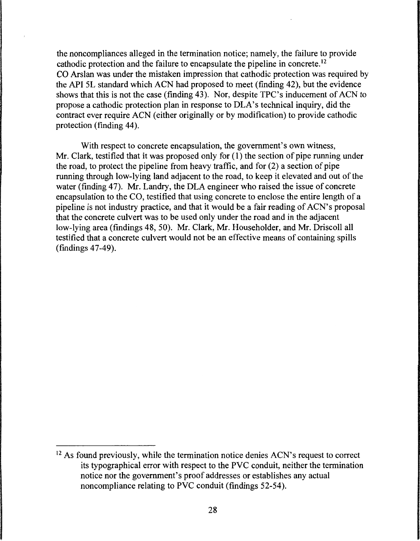the noncompliances alleged in the termination notice; namely, the failure to provide cathodic protection and the failure to encapsulate the pipeline in concrete. <sup>12</sup> CO Arslan was under the mistaken impression that cathodic protection was required by the API SL standard which ACN had proposed to meet (finding 42), but the evidence shows that this is not the case (finding 43). Nor, despite TPC's inducement of ACN to propose a cathodic protection plan in response to DLA's technical inquiry, did the contract ever require ACN (either originally or by modification) to provide cathodic protection (finding 44).

With respect to concrete encapsulation, the government's own witness, Mr. Clark, testified that it was proposed only for  $(1)$  the section of pipe running under the road, to protect the pipeline from heavy traffic, and for (2) a section of pipe running through low-lying land adjacent to the road, to keep it elevated and out of the water (finding 47). Mr. Landry, the DLA engineer who raised the issue of concrete encapsulation to the CO, testified that using concrete to enclose the entire length of a pipeline is not industry practice, and that it would be a fair reading of ACN's proposal that the concrete culvert was to be used only under the road and in the adjacent low-lying area (findings 48, 50). Mr. Clark, Mr. Householder, and Mr. Driscoll all testified that a concrete culvert would not be an effective means of containing spills (findings 47-49).

 $12$  As found previously, while the termination notice denies ACN's request to correct its typographical error with respect to the PVC conduit, neither the termination notice nor the government's proof addresses or establishes any actual noncompliance relating to PVC conduit (findings 52-54).